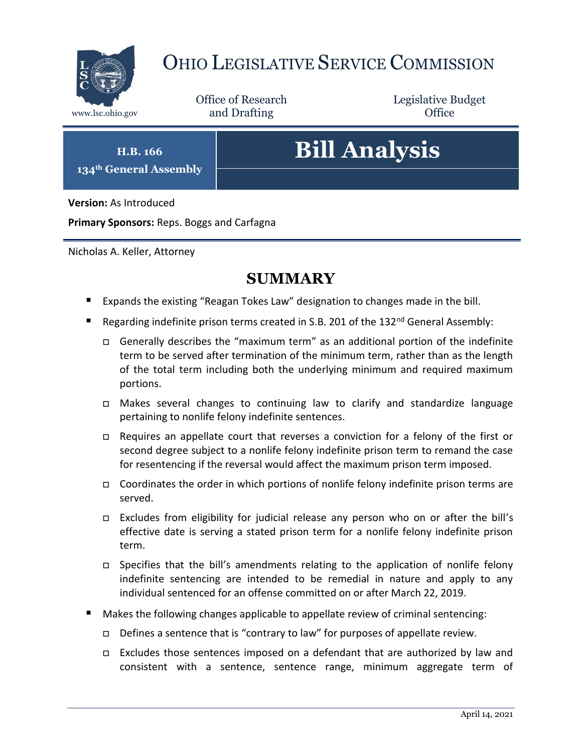

## OHIO LEGISLATIVE SERVICE COMMISSION

Office of Research www.lsc.ohio.gov **and Drafting Office** 

Legislative Budget

**H.B. 166 134th General Assembly**

# **Bill Analysis**

**Version:** As Introduced

**Primary Sponsors:** Reps. Boggs and Carfagna

Nicholas A. Keller, Attorney

## **SUMMARY**

- **Expands the existing "Reagan Tokes Law" designation to changes made in the bill.**
- Regarding indefinite prison terms created in S.B. 201 of the 132<sup>nd</sup> General Assembly:
	- Generally describes the "maximum term" as an additional portion of the indefinite term to be served after termination of the minimum term, rather than as the length of the total term including both the underlying minimum and required maximum portions.
	- Makes several changes to continuing law to clarify and standardize language pertaining to nonlife felony indefinite sentences.
	- Requires an appellate court that reverses a conviction for a felony of the first or second degree subject to a nonlife felony indefinite prison term to remand the case for resentencing if the reversal would affect the maximum prison term imposed.
	- $\Box$  Coordinates the order in which portions of nonlife felony indefinite prison terms are served.
	- Excludes from eligibility for judicial release any person who on or after the bill's effective date is serving a stated prison term for a nonlife felony indefinite prison term.
	- $\Box$  Specifies that the bill's amendments relating to the application of nonlife felony indefinite sentencing are intended to be remedial in nature and apply to any individual sentenced for an offense committed on or after March 22, 2019.
- Makes the following changes applicable to appellate review of criminal sentencing:
	- $\Box$  Defines a sentence that is "contrary to law" for purposes of appellate review.
	- Excludes those sentences imposed on a defendant that are authorized by law and consistent with a sentence, sentence range, minimum aggregate term of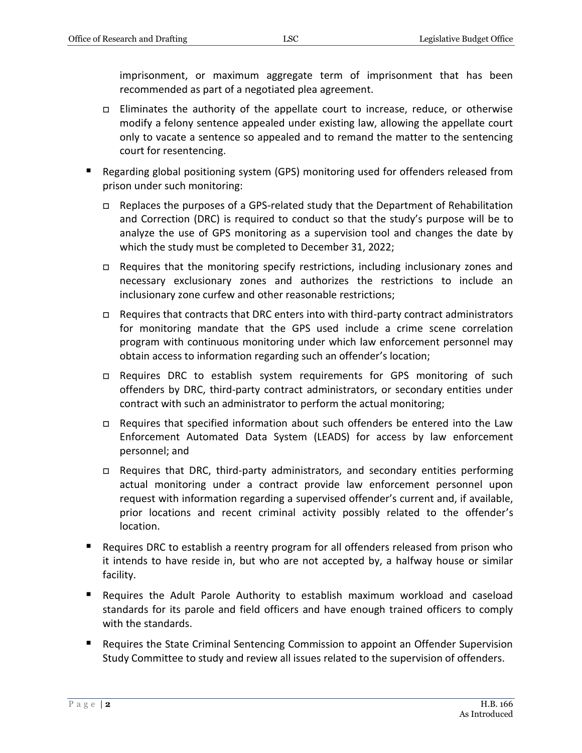imprisonment, or maximum aggregate term of imprisonment that has been recommended as part of a negotiated plea agreement.

- $\Box$  Eliminates the authority of the appellate court to increase, reduce, or otherwise modify a felony sentence appealed under existing law, allowing the appellate court only to vacate a sentence so appealed and to remand the matter to the sentencing court for resentencing.
- Regarding global positioning system (GPS) monitoring used for offenders released from prison under such monitoring:
	- $\Box$  Replaces the purposes of a GPS-related study that the Department of Rehabilitation and Correction (DRC) is required to conduct so that the study's purpose will be to analyze the use of GPS monitoring as a supervision tool and changes the date by which the study must be completed to December 31, 2022;
	- □ Requires that the monitoring specify restrictions, including inclusionary zones and necessary exclusionary zones and authorizes the restrictions to include an inclusionary zone curfew and other reasonable restrictions;
	- $\Box$  Requires that contracts that DRC enters into with third-party contract administrators for monitoring mandate that the GPS used include a crime scene correlation program with continuous monitoring under which law enforcement personnel may obtain access to information regarding such an offender's location;
	- Requires DRC to establish system requirements for GPS monitoring of such offenders by DRC, third-party contract administrators, or secondary entities under contract with such an administrator to perform the actual monitoring;
	- □ Requires that specified information about such offenders be entered into the Law Enforcement Automated Data System (LEADS) for access by law enforcement personnel; and
	- □ Requires that DRC, third-party administrators, and secondary entities performing actual monitoring under a contract provide law enforcement personnel upon request with information regarding a supervised offender's current and, if available, prior locations and recent criminal activity possibly related to the offender's location.
- **Requires DRC to establish a reentry program for all offenders released from prison who** it intends to have reside in, but who are not accepted by, a halfway house or similar facility.
- Requires the Adult Parole Authority to establish maximum workload and caseload standards for its parole and field officers and have enough trained officers to comply with the standards.
- **Requires the State Criminal Sentencing Commission to appoint an Offender Supervision** Study Committee to study and review all issues related to the supervision of offenders.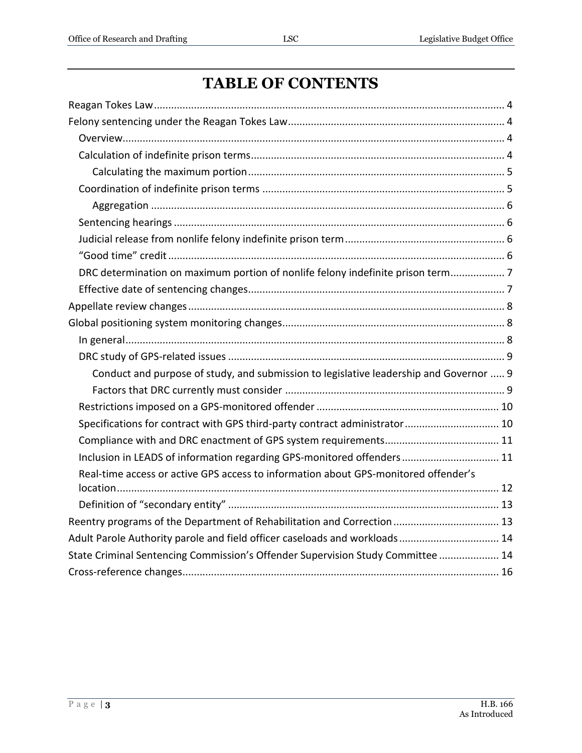## **TABLE OF CONTENTS**

| DRC determination on maximum portion of nonlife felony indefinite prison term          |
|----------------------------------------------------------------------------------------|
|                                                                                        |
|                                                                                        |
|                                                                                        |
|                                                                                        |
|                                                                                        |
| Conduct and purpose of study, and submission to legislative leadership and Governor  9 |
|                                                                                        |
|                                                                                        |
| Specifications for contract with GPS third-party contract administrator 10             |
|                                                                                        |
| Inclusion in LEADS of information regarding GPS-monitored offenders 11                 |
| Real-time access or active GPS access to information about GPS-monitored offender's    |
|                                                                                        |
| Reentry programs of the Department of Rehabilitation and Correction  13                |
| Adult Parole Authority parole and field officer caseloads and workloads 14             |
| State Criminal Sentencing Commission's Offender Supervision Study Committee  14        |
|                                                                                        |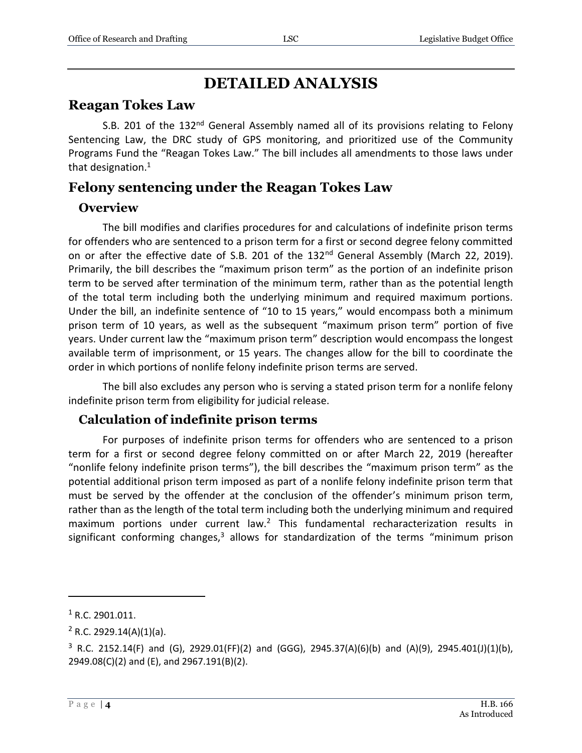## **DETAILED ANALYSIS**

## <span id="page-3-0"></span>**Reagan Tokes Law**

S.B. 201 of the 132<sup>nd</sup> General Assembly named all of its provisions relating to Felony Sentencing Law, the DRC study of GPS monitoring, and prioritized use of the Community Programs Fund the "Reagan Tokes Law." The bill includes all amendments to those laws under that designation.<sup>1</sup>

## <span id="page-3-1"></span>**Felony sentencing under the Reagan Tokes Law**

### <span id="page-3-2"></span>**Overview**

The bill modifies and clarifies procedures for and calculations of indefinite prison terms for offenders who are sentenced to a prison term for a first or second degree felony committed on or after the effective date of S.B. 201 of the 132<sup>nd</sup> General Assembly (March 22, 2019). Primarily, the bill describes the "maximum prison term" as the portion of an indefinite prison term to be served after termination of the minimum term, rather than as the potential length of the total term including both the underlying minimum and required maximum portions. Under the bill, an indefinite sentence of "10 to 15 years," would encompass both a minimum prison term of 10 years, as well as the subsequent "maximum prison term" portion of five years. Under current law the "maximum prison term" description would encompass the longest available term of imprisonment, or 15 years. The changes allow for the bill to coordinate the order in which portions of nonlife felony indefinite prison terms are served.

The bill also excludes any person who is serving a stated prison term for a nonlife felony indefinite prison term from eligibility for judicial release.

## <span id="page-3-3"></span>**Calculation of indefinite prison terms**

For purposes of indefinite prison terms for offenders who are sentenced to a prison term for a first or second degree felony committed on or after March 22, 2019 (hereafter "nonlife felony indefinite prison terms"), the bill describes the "maximum prison term" as the potential additional prison term imposed as part of a nonlife felony indefinite prison term that must be served by the offender at the conclusion of the offender's minimum prison term, rather than as the length of the total term including both the underlying minimum and required maximum portions under current law.<sup>2</sup> This fundamental recharacterization results in significant conforming changes, $3$  allows for standardization of the terms "minimum prison

 $1$  R.C. 2901.011.

 $2$  R.C. 2929.14(A)(1)(a).

 $3$  R.C. 2152.14(F) and (G), 2929.01(FF)(2) and (GGG), 2945.37(A)(6)(b) and (A)(9), 2945.401(J)(1)(b), 2949.08(C)(2) and (E), and 2967.191(B)(2).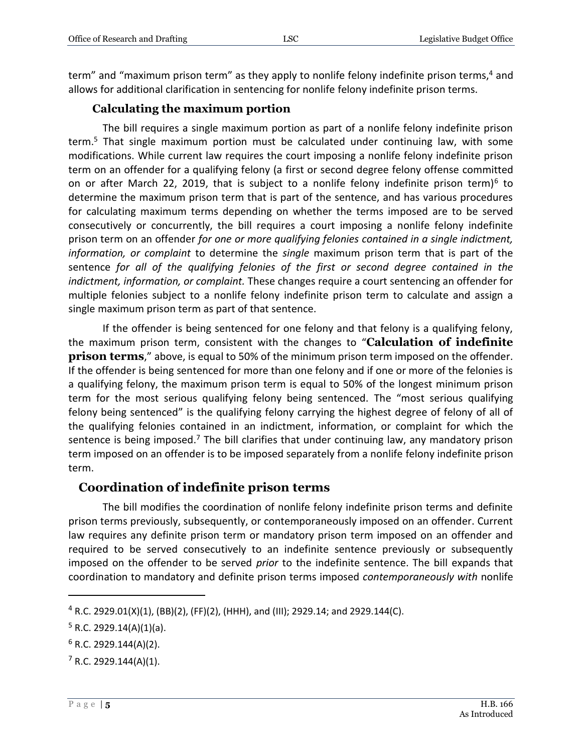term" and "maximum prison term" as they apply to nonlife felony indefinite prison terms,<sup>4</sup> and allows for additional clarification in sentencing for nonlife felony indefinite prison terms.

#### **Calculating the maximum portion**

<span id="page-4-0"></span>The bill requires a single maximum portion as part of a nonlife felony indefinite prison term.<sup>5</sup> That single maximum portion must be calculated under continuing law, with some modifications. While current law requires the court imposing a nonlife felony indefinite prison term on an offender for a qualifying felony (a first or second degree felony offense committed on or after March 22, 2019, that is subject to a nonlife felony indefinite prison term)<sup>6</sup> to determine the maximum prison term that is part of the sentence, and has various procedures for calculating maximum terms depending on whether the terms imposed are to be served consecutively or concurrently, the bill requires a court imposing a nonlife felony indefinite prison term on an offender *for one or more qualifying felonies contained in a single indictment, information, or complaint* to determine the *single* maximum prison term that is part of the sentence *for all of the qualifying felonies of the first or second degree contained in the indictment, information, or complaint.* These changes require a court sentencing an offender for multiple felonies subject to a nonlife felony indefinite prison term to calculate and assign a single maximum prison term as part of that sentence.

If the offender is being sentenced for one felony and that felony is a qualifying felony, the maximum prison term, consistent with the changes to "**Calculation of indefinite prison terms**," above, is equal to 50% of the minimum prison term imposed on the offender. If the offender is being sentenced for more than one felony and if one or more of the felonies is a qualifying felony, the maximum prison term is equal to 50% of the longest minimum prison term for the most serious qualifying felony being sentenced. The "most serious qualifying felony being sentenced" is the qualifying felony carrying the highest degree of felony of all of the qualifying felonies contained in an indictment, information, or complaint for which the sentence is being imposed.<sup>7</sup> The bill clarifies that under continuing law, any mandatory prison term imposed on an offender is to be imposed separately from a nonlife felony indefinite prison term.

#### <span id="page-4-1"></span>**Coordination of indefinite prison terms**

The bill modifies the coordination of nonlife felony indefinite prison terms and definite prison terms previously, subsequently, or contemporaneously imposed on an offender. Current law requires any definite prison term or mandatory prison term imposed on an offender and required to be served consecutively to an indefinite sentence previously or subsequently imposed on the offender to be served *prior* to the indefinite sentence. The bill expands that coordination to mandatory and definite prison terms imposed *contemporaneously with* nonlife

 $4$  R.C. 2929.01(X)(1), (BB)(2), (FF)(2), (HHH), and (III); 2929.14; and 2929.144(C).

 $5$  R.C. 2929.14(A)(1)(a).

 $6$  R.C. 2929.144(A)(2).

 $7$  R.C. 2929.144(A)(1).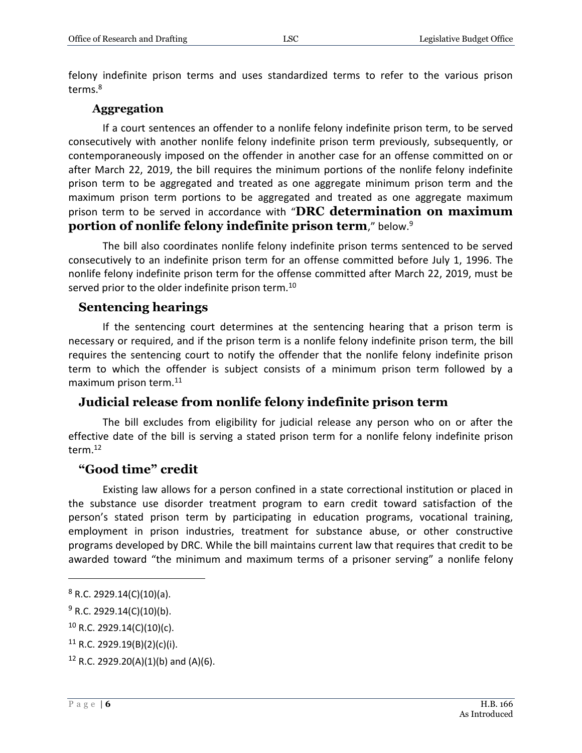felony indefinite prison terms and uses standardized terms to refer to the various prison terms.<sup>8</sup>

#### **Aggregation**

<span id="page-5-0"></span>If a court sentences an offender to a nonlife felony indefinite prison term, to be served consecutively with another nonlife felony indefinite prison term previously, subsequently, or contemporaneously imposed on the offender in another case for an offense committed on or after March 22, 2019, the bill requires the minimum portions of the nonlife felony indefinite prison term to be aggregated and treated as one aggregate minimum prison term and the maximum prison term portions to be aggregated and treated as one aggregate maximum prison term to be served in accordance with "**DRC determination on maximum portion of nonlife felony indefinite prison term**," below.<sup>9</sup>

The bill also coordinates nonlife felony indefinite prison terms sentenced to be served consecutively to an indefinite prison term for an offense committed before July 1, 1996. The nonlife felony indefinite prison term for the offense committed after March 22, 2019, must be served prior to the older indefinite prison term.<sup>10</sup>

#### <span id="page-5-1"></span>**Sentencing hearings**

If the sentencing court determines at the sentencing hearing that a prison term is necessary or required, and if the prison term is a nonlife felony indefinite prison term, the bill requires the sentencing court to notify the offender that the nonlife felony indefinite prison term to which the offender is subject consists of a minimum prison term followed by a maximum prison term.<sup>11</sup>

#### <span id="page-5-2"></span>**Judicial release from nonlife felony indefinite prison term**

The bill excludes from eligibility for judicial release any person who on or after the effective date of the bill is serving a stated prison term for a nonlife felony indefinite prison term.<sup>12</sup>

#### <span id="page-5-3"></span>**"Good time" credit**

Existing law allows for a person confined in a state correctional institution or placed in the substance use disorder treatment program to earn credit toward satisfaction of the person's stated prison term by participating in education programs, vocational training, employment in prison industries, treatment for substance abuse, or other constructive programs developed by DRC. While the bill maintains current law that requires that credit to be awarded toward "the minimum and maximum terms of a prisoner serving" a nonlife felony

 $8$  R.C. 2929.14(C)(10)(a).

 $9 R.C. 2929.14(C)(10)(b).$ 

 $10$  R.C. 2929.14(C)(10)(c).

 $11$  R.C. 2929.19(B)(2)(c)(i).

<sup>&</sup>lt;sup>12</sup> R.C. 2929.20(A)(1)(b) and (A)(6).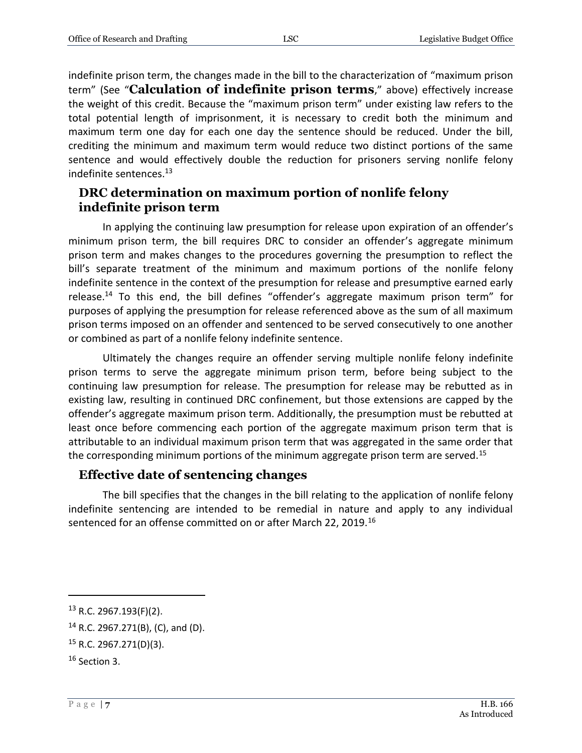indefinite prison term, the changes made in the bill to the characterization of "maximum prison term" (See "**Calculation of indefinite prison terms**," above) effectively increase the weight of this credit. Because the "maximum prison term" under existing law refers to the total potential length of imprisonment, it is necessary to credit both the minimum and maximum term one day for each one day the sentence should be reduced. Under the bill, crediting the minimum and maximum term would reduce two distinct portions of the same sentence and would effectively double the reduction for prisoners serving nonlife felony indefinite sentences.<sup>13</sup>

#### <span id="page-6-0"></span>**DRC determination on maximum portion of nonlife felony indefinite prison term**

In applying the continuing law presumption for release upon expiration of an offender's minimum prison term, the bill requires DRC to consider an offender's aggregate minimum prison term and makes changes to the procedures governing the presumption to reflect the bill's separate treatment of the minimum and maximum portions of the nonlife felony indefinite sentence in the context of the presumption for release and presumptive earned early release.<sup>14</sup> To this end, the bill defines "offender's aggregate maximum prison term" for purposes of applying the presumption for release referenced above as the sum of all maximum prison terms imposed on an offender and sentenced to be served consecutively to one another or combined as part of a nonlife felony indefinite sentence.

Ultimately the changes require an offender serving multiple nonlife felony indefinite prison terms to serve the aggregate minimum prison term, before being subject to the continuing law presumption for release. The presumption for release may be rebutted as in existing law, resulting in continued DRC confinement, but those extensions are capped by the offender's aggregate maximum prison term. Additionally, the presumption must be rebutted at least once before commencing each portion of the aggregate maximum prison term that is attributable to an individual maximum prison term that was aggregated in the same order that the corresponding minimum portions of the minimum aggregate prison term are served.<sup>15</sup>

#### <span id="page-6-1"></span>**Effective date of sentencing changes**

The bill specifies that the changes in the bill relating to the application of nonlife felony indefinite sentencing are intended to be remedial in nature and apply to any individual sentenced for an offense committed on or after March 22, 2019.<sup>16</sup>

<sup>13</sup> R.C. 2967.193(F)(2).

 $14$  R.C. 2967.271(B), (C), and (D).

<sup>15</sup> R.C. 2967.271(D)(3).

<sup>16</sup> Section 3.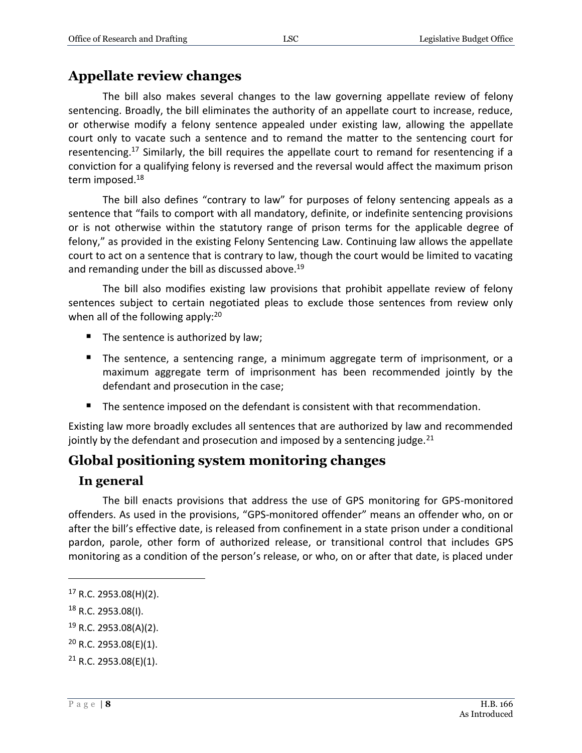## <span id="page-7-0"></span>**Appellate review changes**

The bill also makes several changes to the law governing appellate review of felony sentencing. Broadly, the bill eliminates the authority of an appellate court to increase, reduce, or otherwise modify a felony sentence appealed under existing law, allowing the appellate court only to vacate such a sentence and to remand the matter to the sentencing court for resentencing.<sup>17</sup> Similarly, the bill requires the appellate court to remand for resentencing if a conviction for a qualifying felony is reversed and the reversal would affect the maximum prison term imposed.<sup>18</sup>

The bill also defines "contrary to law" for purposes of felony sentencing appeals as a sentence that "fails to comport with all mandatory, definite, or indefinite sentencing provisions or is not otherwise within the statutory range of prison terms for the applicable degree of felony," as provided in the existing Felony Sentencing Law. Continuing law allows the appellate court to act on a sentence that is contrary to law, though the court would be limited to vacating and remanding under the bill as discussed above.<sup>19</sup>

The bill also modifies existing law provisions that prohibit appellate review of felony sentences subject to certain negotiated pleas to exclude those sentences from review only when all of the following apply: $20$ 

- $\blacksquare$  The sentence is authorized by law;
- The sentence, a sentencing range, a minimum aggregate term of imprisonment, or a maximum aggregate term of imprisonment has been recommended jointly by the defendant and prosecution in the case;
- The sentence imposed on the defendant is consistent with that recommendation.

Existing law more broadly excludes all sentences that are authorized by law and recommended jointly by the defendant and prosecution and imposed by a sentencing judge.<sup>21</sup>

## <span id="page-7-1"></span>**Global positioning system monitoring changes**

#### <span id="page-7-2"></span>**In general**

The bill enacts provisions that address the use of GPS monitoring for GPS-monitored offenders. As used in the provisions, "GPS-monitored offender" means an offender who, on or after the bill's effective date, is released from confinement in a state prison under a conditional pardon, parole, other form of authorized release, or transitional control that includes GPS monitoring as a condition of the person's release, or who, on or after that date, is placed under

- <sup>19</sup> R.C. 2953.08(A)(2).
- <sup>20</sup> R.C. 2953.08(E)(1).

 $17$  R.C. 2953.08(H)(2).

<sup>18</sup> R.C. 2953.08(I).

 $21$  R.C. 2953.08(E)(1).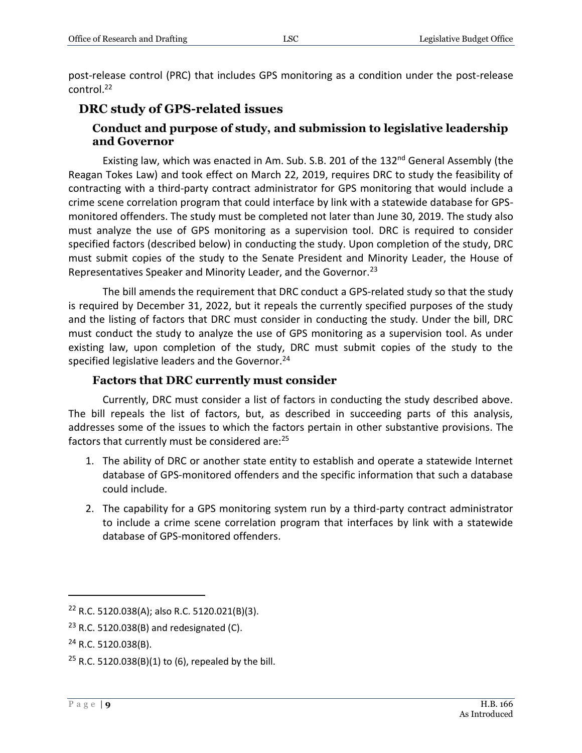post-release control (PRC) that includes GPS monitoring as a condition under the post-release control. 22

## <span id="page-8-1"></span><span id="page-8-0"></span>**DRC study of GPS-related issues**

#### **Conduct and purpose of study, and submission to legislative leadership and Governor**

Existing law, which was enacted in Am. Sub. S.B. 201 of the 132<sup>nd</sup> General Assembly (the Reagan Tokes Law) and took effect on March 22, 2019, requires DRC to study the feasibility of contracting with a third-party contract administrator for GPS monitoring that would include a crime scene correlation program that could interface by link with a statewide database for GPSmonitored offenders. The study must be completed not later than June 30, 2019. The study also must analyze the use of GPS monitoring as a supervision tool. DRC is required to consider specified factors (described below) in conducting the study. Upon completion of the study, DRC must submit copies of the study to the Senate President and Minority Leader, the House of Representatives Speaker and Minority Leader, and the Governor.<sup>23</sup>

The bill amends the requirement that DRC conduct a GPS-related study so that the study is required by December 31, 2022, but it repeals the currently specified purposes of the study and the listing of factors that DRC must consider in conducting the study. Under the bill, DRC must conduct the study to analyze the use of GPS monitoring as a supervision tool. As under existing law, upon completion of the study, DRC must submit copies of the study to the specified legislative leaders and the Governor.<sup>24</sup>

#### **Factors that DRC currently must consider**

<span id="page-8-2"></span>Currently, DRC must consider a list of factors in conducting the study described above. The bill repeals the list of factors, but, as described in succeeding parts of this analysis, addresses some of the issues to which the factors pertain in other substantive provisions. The factors that currently must be considered are:<sup>25</sup>

- 1. The ability of DRC or another state entity to establish and operate a statewide Internet database of GPS-monitored offenders and the specific information that such a database could include.
- 2. The capability for a GPS monitoring system run by a third-party contract administrator to include a crime scene correlation program that interfaces by link with a statewide database of GPS-monitored offenders.

<sup>22</sup> R.C. 5120.038(A); also R.C. 5120.021(B)(3).

 $23$  R.C. 5120.038(B) and redesignated (C).

<sup>24</sup> R.C. 5120.038(B).

<sup>&</sup>lt;sup>25</sup> R.C. 5120.038(B)(1) to (6), repealed by the bill.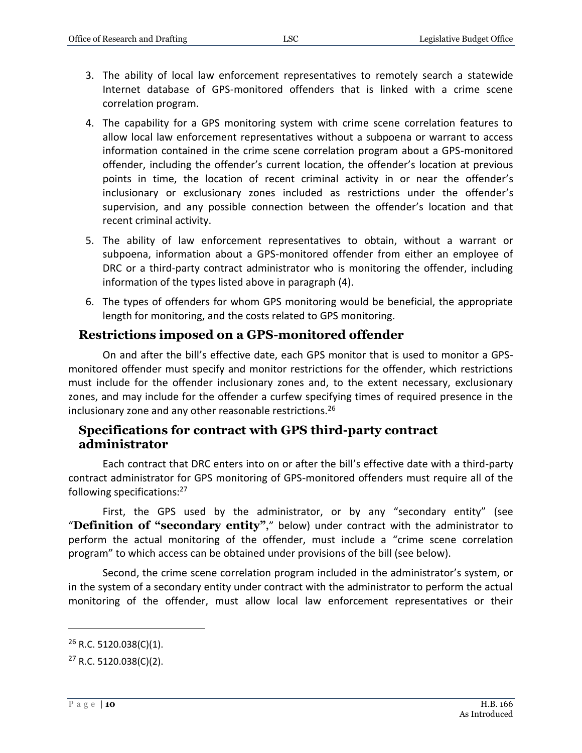- 3. The ability of local law enforcement representatives to remotely search a statewide Internet database of GPS-monitored offenders that is linked with a crime scene correlation program.
- 4. The capability for a GPS monitoring system with crime scene correlation features to allow local law enforcement representatives without a subpoena or warrant to access information contained in the crime scene correlation program about a GPS-monitored offender, including the offender's current location, the offender's location at previous points in time, the location of recent criminal activity in or near the offender's inclusionary or exclusionary zones included as restrictions under the offender's supervision, and any possible connection between the offender's location and that recent criminal activity.
- 5. The ability of law enforcement representatives to obtain, without a warrant or subpoena, information about a GPS-monitored offender from either an employee of DRC or a third-party contract administrator who is monitoring the offender, including information of the types listed above in paragraph (4).
- 6. The types of offenders for whom GPS monitoring would be beneficial, the appropriate length for monitoring, and the costs related to GPS monitoring.

#### <span id="page-9-0"></span>**Restrictions imposed on a GPS-monitored offender**

On and after the bill's effective date, each GPS monitor that is used to monitor a GPSmonitored offender must specify and monitor restrictions for the offender, which restrictions must include for the offender inclusionary zones and, to the extent necessary, exclusionary zones, and may include for the offender a curfew specifying times of required presence in the inclusionary zone and any other reasonable restrictions.<sup>26</sup>

#### <span id="page-9-1"></span>**Specifications for contract with GPS third-party contract administrator**

Each contract that DRC enters into on or after the bill's effective date with a third-party contract administrator for GPS monitoring of GPS-monitored offenders must require all of the following specifications:<sup>27</sup>

First, the GPS used by the administrator, or by any "secondary entity" (see "**Definition of "secondary entity"**," below) under contract with the administrator to perform the actual monitoring of the offender, must include a "crime scene correlation program" to which access can be obtained under provisions of the bill (see below).

Second, the crime scene correlation program included in the administrator's system, or in the system of a secondary entity under contract with the administrator to perform the actual monitoring of the offender, must allow local law enforcement representatives or their

 $26$  R.C. 5120.038(C)(1).

 $27$  R.C. 5120.038(C)(2).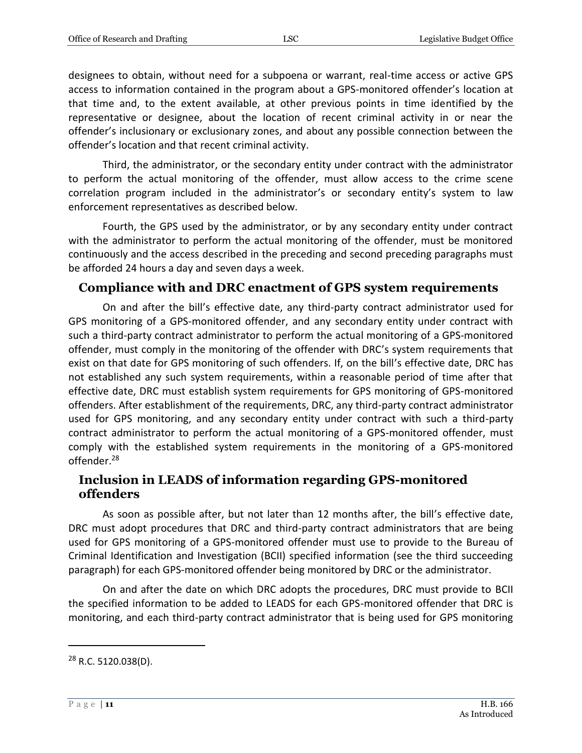designees to obtain, without need for a subpoena or warrant, real-time access or active GPS access to information contained in the program about a GPS-monitored offender's location at that time and, to the extent available, at other previous points in time identified by the representative or designee, about the location of recent criminal activity in or near the offender's inclusionary or exclusionary zones, and about any possible connection between the offender's location and that recent criminal activity.

Third, the administrator, or the secondary entity under contract with the administrator to perform the actual monitoring of the offender, must allow access to the crime scene correlation program included in the administrator's or secondary entity's system to law enforcement representatives as described below.

Fourth, the GPS used by the administrator, or by any secondary entity under contract with the administrator to perform the actual monitoring of the offender, must be monitored continuously and the access described in the preceding and second preceding paragraphs must be afforded 24 hours a day and seven days a week.

## <span id="page-10-0"></span>**Compliance with and DRC enactment of GPS system requirements**

On and after the bill's effective date, any third-party contract administrator used for GPS monitoring of a GPS-monitored offender, and any secondary entity under contract with such a third-party contract administrator to perform the actual monitoring of a GPS-monitored offender, must comply in the monitoring of the offender with DRC's system requirements that exist on that date for GPS monitoring of such offenders. If, on the bill's effective date, DRC has not established any such system requirements, within a reasonable period of time after that effective date, DRC must establish system requirements for GPS monitoring of GPS-monitored offenders. After establishment of the requirements, DRC, any third-party contract administrator used for GPS monitoring, and any secondary entity under contract with such a third-party contract administrator to perform the actual monitoring of a GPS-monitored offender, must comply with the established system requirements in the monitoring of a GPS-monitored offender.<sup>28</sup>

### <span id="page-10-1"></span>**Inclusion in LEADS of information regarding GPS-monitored offenders**

As soon as possible after, but not later than 12 months after, the bill's effective date, DRC must adopt procedures that DRC and third-party contract administrators that are being used for GPS monitoring of a GPS-monitored offender must use to provide to the Bureau of Criminal Identification and Investigation (BCII) specified information (see the third succeeding paragraph) for each GPS-monitored offender being monitored by DRC or the administrator.

On and after the date on which DRC adopts the procedures, DRC must provide to BCII the specified information to be added to LEADS for each GPS-monitored offender that DRC is monitoring, and each third-party contract administrator that is being used for GPS monitoring

<sup>28</sup> R.C. 5120.038(D).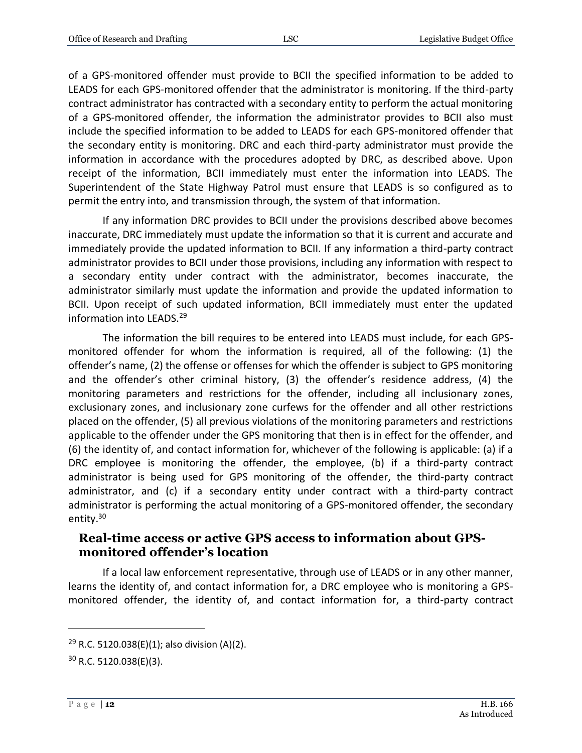of a GPS-monitored offender must provide to BCII the specified information to be added to LEADS for each GPS-monitored offender that the administrator is monitoring. If the third-party contract administrator has contracted with a secondary entity to perform the actual monitoring of a GPS-monitored offender, the information the administrator provides to BCII also must include the specified information to be added to LEADS for each GPS-monitored offender that the secondary entity is monitoring. DRC and each third-party administrator must provide the information in accordance with the procedures adopted by DRC, as described above. Upon receipt of the information, BCII immediately must enter the information into LEADS. The Superintendent of the State Highway Patrol must ensure that LEADS is so configured as to permit the entry into, and transmission through, the system of that information.

If any information DRC provides to BCII under the provisions described above becomes inaccurate, DRC immediately must update the information so that it is current and accurate and immediately provide the updated information to BCII. If any information a third-party contract administrator provides to BCII under those provisions, including any information with respect to a secondary entity under contract with the administrator, becomes inaccurate, the administrator similarly must update the information and provide the updated information to BCII. Upon receipt of such updated information, BCII immediately must enter the updated information into LEADS.<sup>29</sup>

The information the bill requires to be entered into LEADS must include, for each GPSmonitored offender for whom the information is required, all of the following: (1) the offender's name, (2) the offense or offenses for which the offender is subject to GPS monitoring and the offender's other criminal history, (3) the offender's residence address, (4) the monitoring parameters and restrictions for the offender, including all inclusionary zones, exclusionary zones, and inclusionary zone curfews for the offender and all other restrictions placed on the offender, (5) all previous violations of the monitoring parameters and restrictions applicable to the offender under the GPS monitoring that then is in effect for the offender, and (6) the identity of, and contact information for, whichever of the following is applicable: (a) if a DRC employee is monitoring the offender, the employee, (b) if a third-party contract administrator is being used for GPS monitoring of the offender, the third-party contract administrator, and (c) if a secondary entity under contract with a third-party contract administrator is performing the actual monitoring of a GPS-monitored offender, the secondary entity.<sup>30</sup>

#### <span id="page-11-0"></span>**Real-time access or active GPS access to information about GPSmonitored offender's location**

If a local law enforcement representative, through use of LEADS or in any other manner, learns the identity of, and contact information for, a DRC employee who is monitoring a GPSmonitored offender, the identity of, and contact information for, a third-party contract

<sup>&</sup>lt;sup>29</sup> R.C. 5120.038(E)(1); also division (A)(2).

 $30$  R.C. 5120.038(E)(3).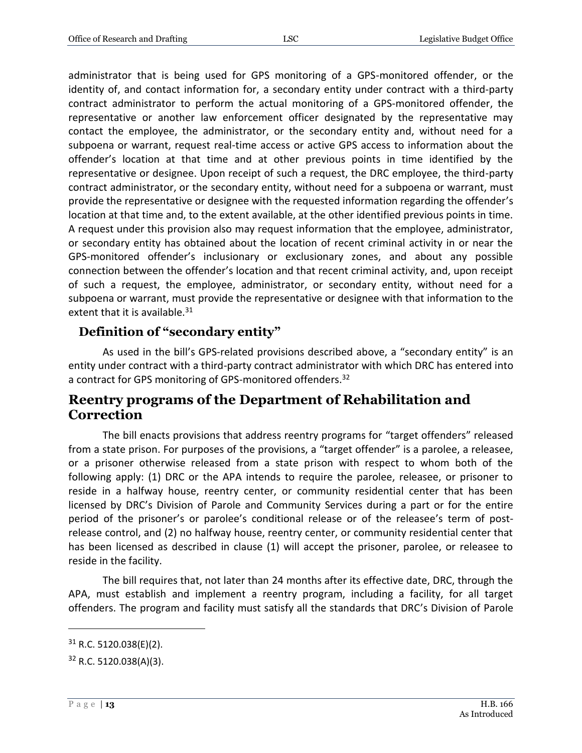administrator that is being used for GPS monitoring of a GPS-monitored offender, or the identity of, and contact information for, a secondary entity under contract with a third-party contract administrator to perform the actual monitoring of a GPS-monitored offender, the representative or another law enforcement officer designated by the representative may contact the employee, the administrator, or the secondary entity and, without need for a subpoena or warrant, request real-time access or active GPS access to information about the offender's location at that time and at other previous points in time identified by the representative or designee. Upon receipt of such a request, the DRC employee, the third-party contract administrator, or the secondary entity, without need for a subpoena or warrant, must provide the representative or designee with the requested information regarding the offender's location at that time and, to the extent available, at the other identified previous points in time. A request under this provision also may request information that the employee, administrator, or secondary entity has obtained about the location of recent criminal activity in or near the GPS-monitored offender's inclusionary or exclusionary zones, and about any possible connection between the offender's location and that recent criminal activity, and, upon receipt of such a request, the employee, administrator, or secondary entity, without need for a subpoena or warrant, must provide the representative or designee with that information to the extent that it is available.<sup>31</sup>

### <span id="page-12-0"></span>**Definition of "secondary entity"**

As used in the bill's GPS-related provisions described above, a "secondary entity" is an entity under contract with a third-party contract administrator with which DRC has entered into a contract for GPS monitoring of GPS-monitored offenders.<sup>32</sup>

## <span id="page-12-1"></span>**Reentry programs of the Department of Rehabilitation and Correction**

The bill enacts provisions that address reentry programs for "target offenders" released from a state prison. For purposes of the provisions, a "target offender" is a parolee, a releasee, or a prisoner otherwise released from a state prison with respect to whom both of the following apply: (1) DRC or the APA intends to require the parolee, releasee, or prisoner to reside in a halfway house, reentry center, or community residential center that has been licensed by DRC's Division of Parole and Community Services during a part or for the entire period of the prisoner's or parolee's conditional release or of the releasee's term of postrelease control, and (2) no halfway house, reentry center, or community residential center that has been licensed as described in clause (1) will accept the prisoner, parolee, or releasee to reside in the facility.

The bill requires that, not later than 24 months after its effective date, DRC, through the APA, must establish and implement a reentry program, including a facility, for all target offenders. The program and facility must satisfy all the standards that DRC's Division of Parole

 $31$  R.C. 5120.038(E)(2).

 $32$  R.C. 5120.038(A)(3).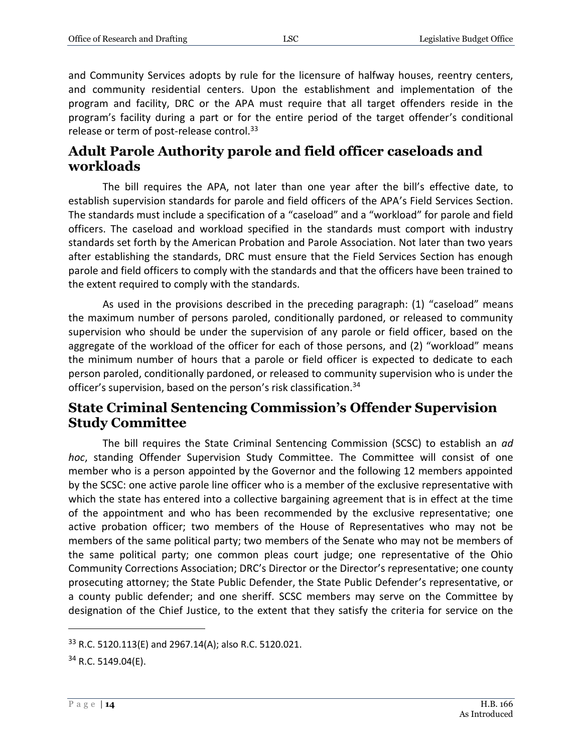and Community Services adopts by rule for the licensure of halfway houses, reentry centers, and community residential centers. Upon the establishment and implementation of the program and facility, DRC or the APA must require that all target offenders reside in the program's facility during a part or for the entire period of the target offender's conditional release or term of post-release control.<sup>33</sup>

## <span id="page-13-0"></span>**Adult Parole Authority parole and field officer caseloads and workloads**

The bill requires the APA, not later than one year after the bill's effective date, to establish supervision standards for parole and field officers of the APA's Field Services Section. The standards must include a specification of a "caseload" and a "workload" for parole and field officers. The caseload and workload specified in the standards must comport with industry standards set forth by the American Probation and Parole Association. Not later than two years after establishing the standards, DRC must ensure that the Field Services Section has enough parole and field officers to comply with the standards and that the officers have been trained to the extent required to comply with the standards.

As used in the provisions described in the preceding paragraph: (1) "caseload" means the maximum number of persons paroled, conditionally pardoned, or released to community supervision who should be under the supervision of any parole or field officer, based on the aggregate of the workload of the officer for each of those persons, and (2) "workload" means the minimum number of hours that a parole or field officer is expected to dedicate to each person paroled, conditionally pardoned, or released to community supervision who is under the officer's supervision, based on the person's risk classification.<sup>34</sup>

## <span id="page-13-1"></span>**State Criminal Sentencing Commission's Offender Supervision Study Committee**

The bill requires the State Criminal Sentencing Commission (SCSC) to establish an *ad hoc*, standing Offender Supervision Study Committee. The Committee will consist of one member who is a person appointed by the Governor and the following 12 members appointed by the SCSC: one active parole line officer who is a member of the exclusive representative with which the state has entered into a collective bargaining agreement that is in effect at the time of the appointment and who has been recommended by the exclusive representative; one active probation officer; two members of the House of Representatives who may not be members of the same political party; two members of the Senate who may not be members of the same political party; one common pleas court judge; one representative of the Ohio Community Corrections Association; DRC's Director or the Director's representative; one county prosecuting attorney; the State Public Defender, the State Public Defender's representative, or a county public defender; and one sheriff. SCSC members may serve on the Committee by designation of the Chief Justice, to the extent that they satisfy the criteria for service on the

<sup>33</sup> R.C. 5120.113(E) and 2967.14(A); also R.C. 5120.021.

 $34$  R.C. 5149.04(E).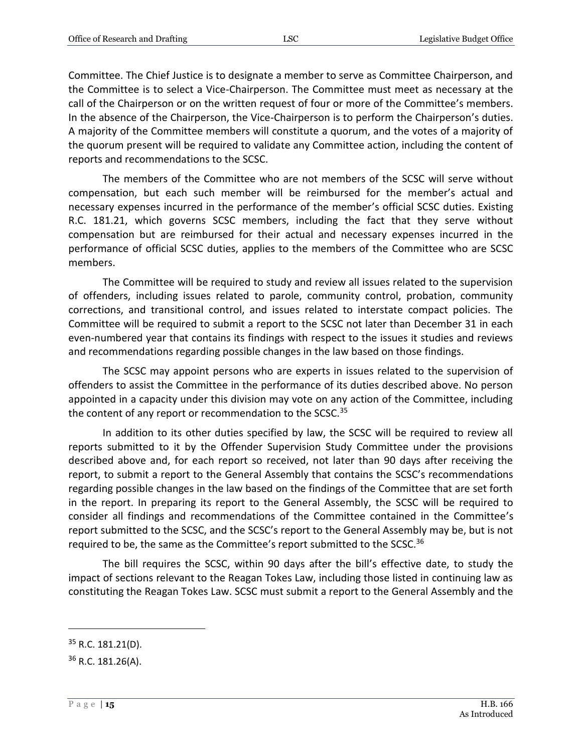Committee. The Chief Justice is to designate a member to serve as Committee Chairperson, and the Committee is to select a Vice-Chairperson. The Committee must meet as necessary at the call of the Chairperson or on the written request of four or more of the Committee's members. In the absence of the Chairperson, the Vice-Chairperson is to perform the Chairperson's duties. A majority of the Committee members will constitute a quorum, and the votes of a majority of the quorum present will be required to validate any Committee action, including the content of reports and recommendations to the SCSC.

The members of the Committee who are not members of the SCSC will serve without compensation, but each such member will be reimbursed for the member's actual and necessary expenses incurred in the performance of the member's official SCSC duties. Existing R.C. 181.21, which governs SCSC members, including the fact that they serve without compensation but are reimbursed for their actual and necessary expenses incurred in the performance of official SCSC duties, applies to the members of the Committee who are SCSC members.

The Committee will be required to study and review all issues related to the supervision of offenders, including issues related to parole, community control, probation, community corrections, and transitional control, and issues related to interstate compact policies. The Committee will be required to submit a report to the SCSC not later than December 31 in each even-numbered year that contains its findings with respect to the issues it studies and reviews and recommendations regarding possible changes in the law based on those findings.

The SCSC may appoint persons who are experts in issues related to the supervision of offenders to assist the Committee in the performance of its duties described above. No person appointed in a capacity under this division may vote on any action of the Committee, including the content of any report or recommendation to the SCSC.<sup>35</sup>

In addition to its other duties specified by law, the SCSC will be required to review all reports submitted to it by the Offender Supervision Study Committee under the provisions described above and, for each report so received, not later than 90 days after receiving the report, to submit a report to the General Assembly that contains the SCSC's recommendations regarding possible changes in the law based on the findings of the Committee that are set forth in the report. In preparing its report to the General Assembly, the SCSC will be required to consider all findings and recommendations of the Committee contained in the Committee's report submitted to the SCSC, and the SCSC's report to the General Assembly may be, but is not required to be, the same as the Committee's report submitted to the SCSC.<sup>36</sup>

The bill requires the SCSC, within 90 days after the bill's effective date, to study the impact of sections relevant to the Reagan Tokes Law, including those listed in continuing law as constituting the Reagan Tokes Law. SCSC must submit a report to the General Assembly and the

 $35$  R.C. 181.21(D).

<sup>&</sup>lt;sup>36</sup> R.C. 181.26(A).